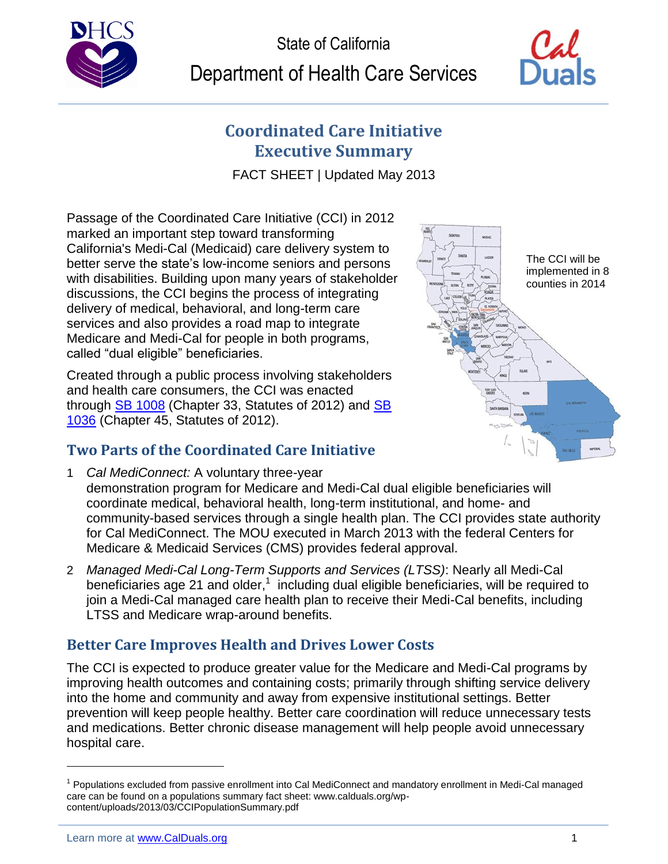



# **Coordinated Care Initiative Executive Summary**

FACT SHEET | Updated May 2013

Passage of the Coordinated Care Initiative (CCI) in 2012 marked an important step toward transforming California's Medi-Cal (Medicaid) care delivery system to better serve the state's low-income seniors and persons with disabilities. Building upon many years of stakeholder discussions, the CCI begins the process of integrating delivery of medical, behavioral, and long-term care services and also provides a road map to integrate Medicare and Medi-Cal for people in both programs, called "dual eligible" beneficiaries.

Created through a public process involving stakeholders and health care consumers, the CCI was enacted through [SB 1008](http://www.leginfo.ca.gov/pub/11-12/bill/sen/sb_1001-1050/sb_1008_bill_20120627_chaptered.html) (Chapter 33, Statutes of 2012) and SB [1036](http://www.leginfo.ca.gov/pub/11-12/bill/sen/sb_1001-1050/sb_1036_bill_20120627_chaptered.html) (Chapter 45, Statutes of 2012).

## **Two Parts of the Coordinated Care Initiative**

- 1 *Cal MediConnect:* A voluntary three-year demonstration program for Medicare and Medi-Cal dual eligible beneficiaries will coordinate medical, behavioral health, long-term institutional, and home- and community-based services through a single health plan. The CCI provides state authority for Cal MediConnect. The MOU executed in March 2013 with the federal Centers for Medicare & Medicaid Services (CMS) provides federal approval.
- 2 *Managed Medi-Cal Long-Term Supports and Services (LTSS)*: Nearly all Medi-Cal beneficiaries age 21 and older,<sup>1</sup> including dual eligible beneficiaries, will be required to join a Medi-Cal managed care health plan to receive their Medi-Cal benefits, including LTSS and Medicare wrap-around benefits.

## **Better Care Improves Health and Drives Lower Costs**

The CCI is expected to produce greater value for the Medicare and Medi-Cal programs by improving health outcomes and containing costs; primarily through shifting service delivery into the home and community and away from expensive institutional settings. Better prevention will keep people healthy. Better care coordination will reduce unnecessary tests and medications. Better chronic disease management will help people avoid unnecessary hospital care.



l

<sup>&</sup>lt;sup>1</sup> Populations excluded from passive enrollment into Cal MediConnect and mandatory enrollment in Medi-Cal managed care can be found on a populations summary fact sheet: www.calduals.org/wpcontent/uploads/2013/03/CCIPopulationSummary.pdf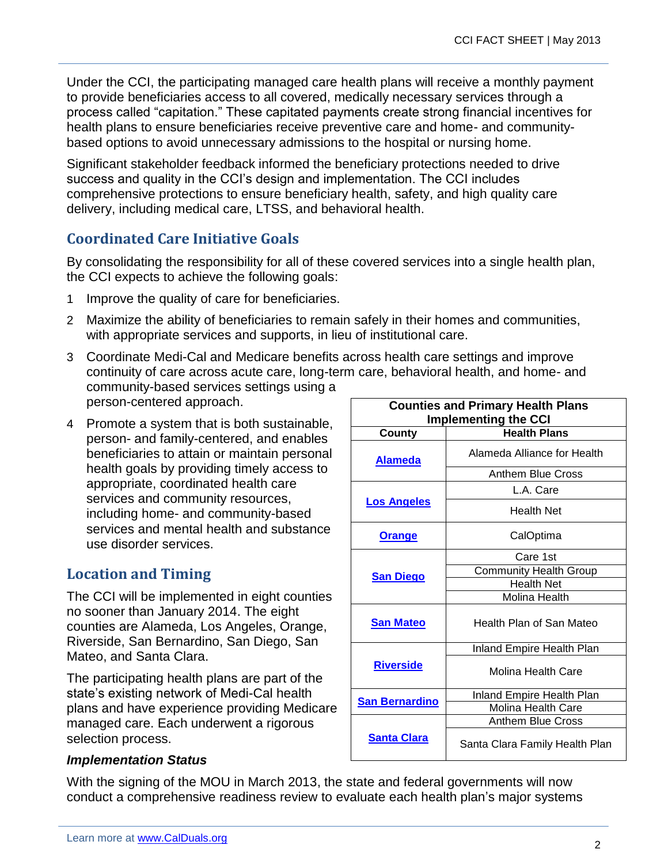Under the CCI, the participating managed care health plans will receive a monthly payment to provide beneficiaries access to all covered, medically necessary services through a process called "capitation." These capitated payments create strong financial incentives for health plans to ensure beneficiaries receive preventive care and home- and communitybased options to avoid unnecessary admissions to the hospital or nursing home.

Significant stakeholder feedback informed the beneficiary protections needed to drive success and quality in the CCI's design and implementation. The CCI includes comprehensive protections to ensure beneficiary health, safety, and high quality care delivery, including medical care, LTSS, and behavioral health.

## **Coordinated Care Initiative Goals**

By consolidating the responsibility for all of these covered services into a single health plan, the CCI expects to achieve the following goals:

- 1 Improve the quality of care for beneficiaries.
- 2 Maximize the ability of beneficiaries to remain safely in their homes and communities, with appropriate services and supports, in lieu of institutional care.
- 3 Coordinate Medi-Cal and Medicare benefits across health care settings and improve continuity of care across acute care, long-term care, behavioral health, and home- and community-based services settings using a person-centered approach.
- 4 Promote a system that is both sustainable, person- and family-centered, and enables beneficiaries to attain or maintain personal health goals by providing timely access to appropriate, coordinated health care services and community resources, including home- and community-based services and mental health and substance use disorder services.

## **Location and Timing**

The CCI will be implemented in eight counties no sooner than January 2014. The eight counties are Alameda, Los Angeles, Orange, Riverside, San Bernardino, San Diego, San Mateo, and Santa Clara.

The participating health plans are part of the state's existing network of Medi-Cal health plans and have experience providing Medicare managed care. Each underwent a rigorous selection process.

| <b>Counties and Primary Health Plans</b><br><b>Implementing the CCI</b> |                                |
|-------------------------------------------------------------------------|--------------------------------|
| County                                                                  | <b>Health Plans</b>            |
| <u>Alameda</u>                                                          | Alameda Alliance for Health    |
|                                                                         | <b>Anthem Blue Cross</b>       |
| <b>Los Angeles</b>                                                      | L.A. Care                      |
|                                                                         | Health Net                     |
| <b>Orange</b>                                                           | CalOptima                      |
| <b>San Diego</b>                                                        | Care 1st                       |
|                                                                         | <b>Community Health Group</b>  |
|                                                                         | <b>Health Net</b>              |
|                                                                         | Molina Health                  |
| <b>San Mateo</b>                                                        | Health Plan of San Mateo       |
| <b>Riverside</b>                                                        | Inland Empire Health Plan      |
|                                                                         | Molina Health Care             |
| <b>San Bernardino</b>                                                   | Inland Empire Health Plan      |
|                                                                         | Molina Health Care             |
| <b>Santa Clara</b>                                                      | Anthem Blue Cross              |
|                                                                         | Santa Clara Family Health Plan |

#### *Implementation Status*

With the signing of the MOU in March 2013, the state and federal governments will now conduct a comprehensive readiness review to evaluate each health plan's major systems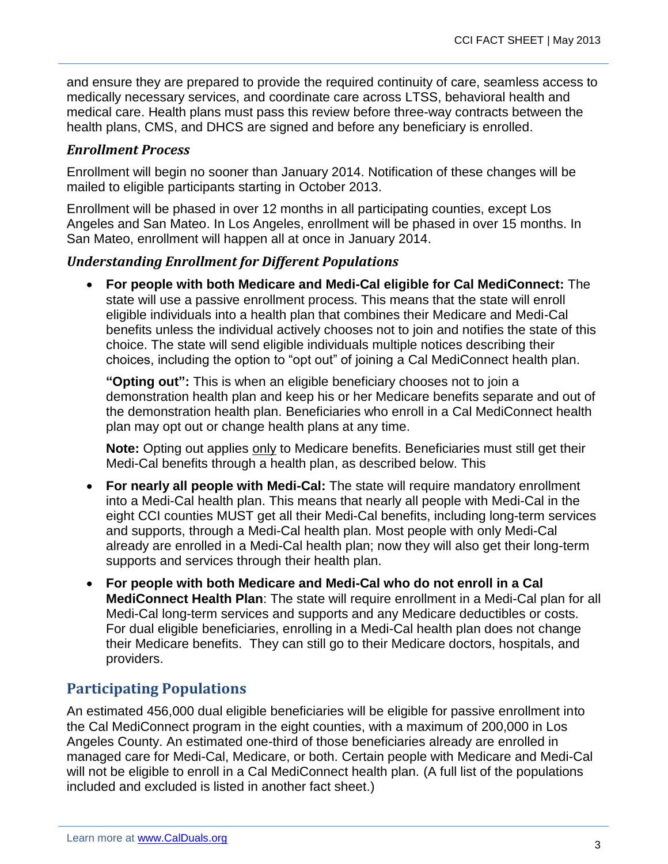and ensure they are prepared to provide the required continuity of care, seamless access to medically necessary services, and coordinate care across LTSS, behavioral health and medical care. Health plans must pass this review before three-way contracts between the health plans, CMS, and DHCS are signed and before any beneficiary is enrolled.

#### *Enrollment Process*

Enrollment will begin no sooner than January 2014. Notification of these changes will be mailed to eligible participants starting in October 2013.

Enrollment will be phased in over 12 months in all participating counties, except Los Angeles and San Mateo. In Los Angeles, enrollment will be phased in over 15 months. In San Mateo, enrollment will happen all at once in January 2014.

#### *Understanding Enrollment for Different Populations*

 **For people with both Medicare and Medi-Cal eligible for Cal MediConnect:** The state will use a passive enrollment process. This means that the state will enroll eligible individuals into a health plan that combines their Medicare and Medi-Cal benefits unless the individual actively chooses not to join and notifies the state of this choice. The state will send eligible individuals multiple notices describing their choices, including the option to "opt out" of joining a Cal MediConnect health plan.

**"Opting out":** This is when an eligible beneficiary chooses not to join a demonstration health plan and keep his or her Medicare benefits separate and out of the demonstration health plan. Beneficiaries who enroll in a Cal MediConnect health plan may opt out or change health plans at any time.

**Note:** Opting out applies only to Medicare benefits. Beneficiaries must still get their Medi-Cal benefits through a health plan, as described below. This

- **For nearly all people with Medi-Cal:** The state will require mandatory enrollment into a Medi-Cal health plan. This means that nearly all people with Medi-Cal in the eight CCI counties MUST get all their Medi-Cal benefits, including long-term services and supports, through a Medi-Cal health plan. Most people with only Medi-Cal already are enrolled in a Medi-Cal health plan; now they will also get their long-term supports and services through their health plan.
- **For people with both Medicare and Medi-Cal who do not enroll in a Cal MediConnect Health Plan**: The state will require enrollment in a Medi-Cal plan for all Medi-Cal long-term services and supports and any Medicare deductibles or costs. For dual eligible beneficiaries, enrolling in a Medi-Cal health plan does not change their Medicare benefits. They can still go to their Medicare doctors, hospitals, and providers.

## **Participating Populations**

An estimated 456,000 dual eligible beneficiaries will be eligible for passive enrollment into the Cal MediConnect program in the eight counties, with a maximum of 200,000 in Los Angeles County. An estimated one-third of those beneficiaries already are enrolled in managed care for Medi-Cal, Medicare, or both. Certain people with Medicare and Medi-Cal will not be eligible to enroll in a Cal MediConnect health plan. (A full list of the populations included and excluded is listed in another fact sheet.)